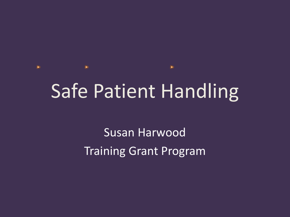## Safe Patient Handling

Susan Harwood Training Grant Program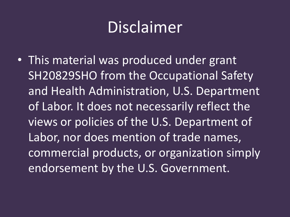## Disclaimer

• This material was produced under grant SH20829SHO from the Occupational Safety and Health Administration, U.S. Department of Labor. It does not necessarily reflect the views or policies of the U.S. Department of Labor, nor does mention of trade names, commercial products, or organization simply endorsement by the U.S. Government.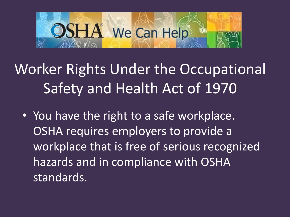

Worker Rights Under the Occupational Safety and Health Act of 1970

• You have the right to a safe workplace. OSHA requires employers to provide a workplace that is free of serious recognized hazards and in compliance with OSHA standards.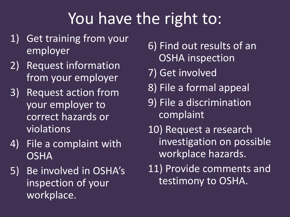## You have the right to:

- 1) Get training from your employer
- 2) Request information from your employer
- 3) Request action from your employer to correct hazards or violations
- 4) File a complaint with **OSHA**
- 5) Be involved in OSHA's inspection of your workplace.
- 6) Find out results of an OSHA inspection
- 7) Get involved
- 8) File a formal appeal
- 9) File a discrimination complaint
- 10) Request a research investigation on possible workplace hazards.
- 11) Provide comments and testimony to OSHA.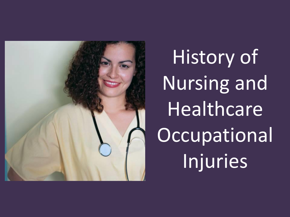

History of Nursing and Healthcare **Occupational** Injuries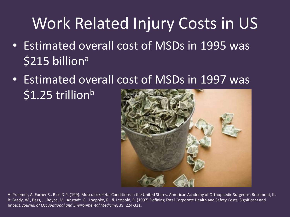## Work Related Injury Costs in US

- Estimated overall cost of MSDs in 1995 was \$215 billion<sup>a</sup>
- Estimated overall cost of MSDs in 1997 was  $$1.25$  trillion<sup>b</sup>



A: Praemer, A. Furner S., Rice D.P. (199(. Musculoskeletal Conditions in the United States. American Academy of Orthopaedic Surgeons: Rosemont, IL. B: Brady, W., Bass, J., Royce, M., Anstadt, G., Loeppke, R., & Leopold, R. (1997) Defining Total Corporate Health and Safety Costs: Significant and Impact. *Journal of Occupational and Environmental Medicine*, 39, 224-321.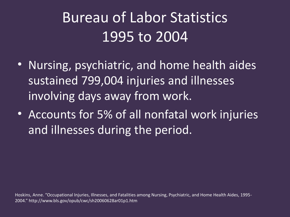## Bureau of Labor Statistics 1995 to 2004

- Nursing, psychiatric, and home health aides sustained 799,004 injuries and illnesses involving days away from work.
- Accounts for 5% of all nonfatal work injuries and illnesses during the period.

Hoskins, Anne. "Occupational Injuries, Illnesses, and Fatalities among Nursing, Psychiatric, and Home Health Aides, 1995- 2004." http://www.bls.gov/opub/cwc/sh20060628ar01p1.htm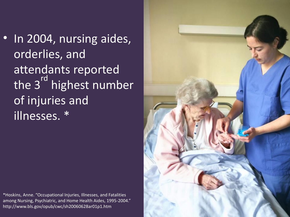• In 2004, nursing aides, orderlies, and attendants reported the 3<sup>rd</sup> highest number of injuries and illnesses. \*

\*Hoskins, Anne. "Occupational Injuries, Illnesses, and Fatalities among Nursing, Psychiatric, and Home Health Aides, 1995-2004." http://www.bls.gov/opub/cwc/sh20060628ar01p1.htm

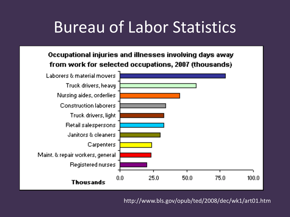## Bureau of Labor Statistics

#### Occupational injuries and illnesses involving days away from work for selected occupations, 2007 (thousands)



http://www.bls.gov/opub/ted/2008/dec/wk1/art01.htm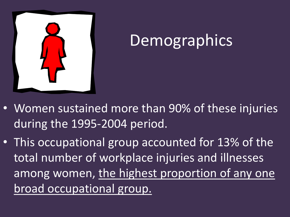

## **Demographics**

- Women sustained more than 90% of these injuries during the 1995-2004 period.
- This occupational group accounted for 13% of the total number of workplace injuries and illnesses among women, the highest proportion of any one broad occupational group.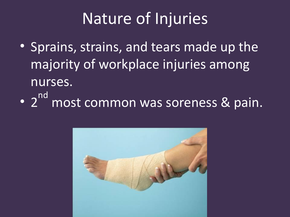## Nature of Injuries

- Sprains, strains, and tears made up the majority of workplace injuries among nurses.
- 2<sup>nd</sup> most common was soreness & pain.

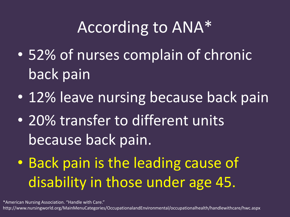## According to ANA\*

- 52% of nurses complain of chronic back pain
- 12% leave nursing because back pain
- 20% transfer to different units because back pain.
- Back pain is the leading cause of disability in those under age 45.

\*American Nursing Association. "Handle with Care."

http://www.nursingworld.org/MainMenuCategories/OccupationalandEnvironmental/occupationalhealth/handlewithcare/hwc.aspx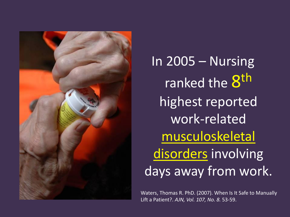

In 2005 – Nursing ranked the  $8^{\text{th}}$ highest reported work-related musculoskeletal disorders involving days away from work.

Waters, Thomas R. PhD. (2007). When Is It Safe to Manually Lift a Patient?. *AJN, Vol. 107, No. 8.* 53-59.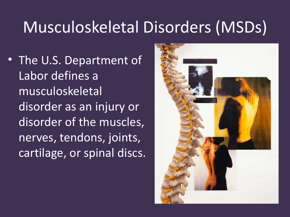## Musculoskeletal Disorders (MSDs)

• The U.S. Department of Labor defines a musculoskeletal disorder as an injury or disorder of the muscles, nerves, tendons, joints, cartilage, or spinal discs.

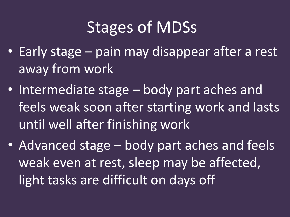## Stages of MDSs

- Early stage pain may disappear after a rest away from work
- Intermediate stage body part aches and feels weak soon after starting work and lasts until well after finishing work
- Advanced stage body part aches and feels weak even at rest, sleep may be affected, light tasks are difficult on days off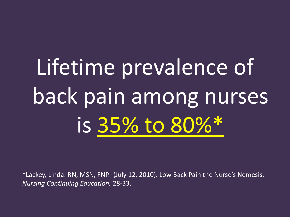# Lifetime prevalence of back pain among nurses is 35% to 80%\*

\*Lackey, Linda. RN, MSN, FNP. (July 12, 2010). Low Back Pain the Nurse's Nemesis. *Nursing Continuing Education.* 28-33.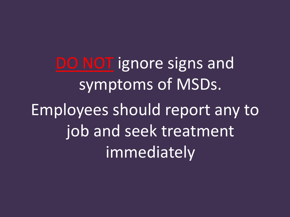DO NOT ignore signs and symptoms of MSDs. Employees should report any to job and seek treatment immediately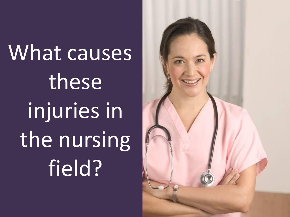What causes these injuries in the nursing field?

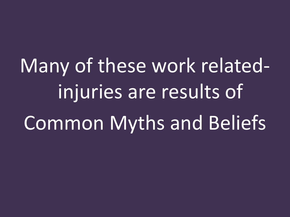Many of these work relatedinjuries are results of Common Myths and Beliefs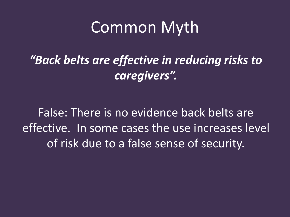*"Back belts are effective in reducing risks to caregivers".*

False: There is no evidence back belts are effective. In some cases the use increases level of risk due to a false sense of security.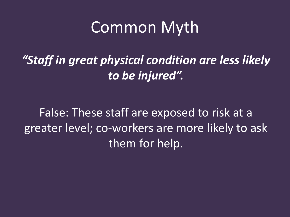*"Staff in great physical condition are less likely to be injured".*

False: These staff are exposed to risk at a greater level; co-workers are more likely to ask them for help.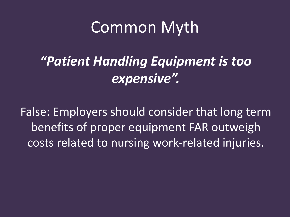#### *"Patient Handling Equipment is too expensive".*

False: Employers should consider that long term benefits of proper equipment FAR outweigh costs related to nursing work-related injuries.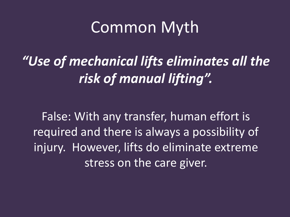*"Use of mechanical lifts eliminates all the risk of manual lifting".*

False: With any transfer, human effort is required and there is always a possibility of injury. However, lifts do eliminate extreme stress on the care giver.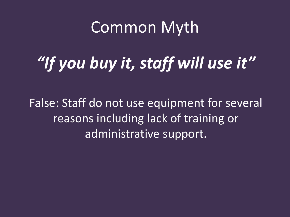## *"If you buy it, staff will use it"*

False: Staff do not use equipment for several reasons including lack of training or administrative support.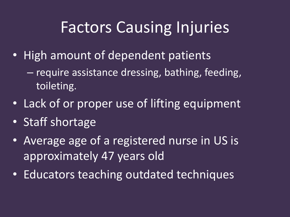## Factors Causing Injuries

- High amount of dependent patients
	- require assistance dressing, bathing, feeding, toileting.
- Lack of or proper use of lifting equipment
- Staff shortage
- Average age of a registered nurse in US is approximately 47 years old
- Educators teaching outdated techniques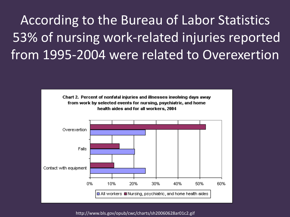#### According to the Bureau of Labor Statistics 53% of nursing work-related injuries reported from 1995-2004 were related to Overexertion



http://www.bls.gov/opub/cwc/charts/sh20060628ar01c2.gif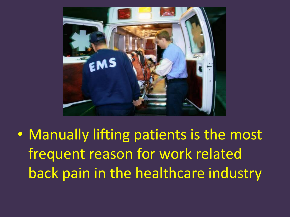

• Manually lifting patients is the most frequent reason for work related back pain in the healthcare industry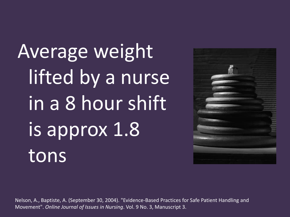Average weight lifted by a nurse in a 8 hour shift is approx 1.8 tons



Nelson, A., Baptiste, A. (September 30, 2004). "Evidence-Based Practices for Safe Patient Handling and Movement". *Online Journal of Issues in Nursing*. Vol. 9 No. 3, Manuscript 3.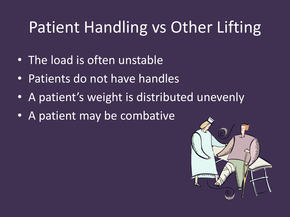## Patient Handling vs Other Lifting

- The load is often unstable
- Patients do not have handles
- A patient's weight is distributed unevenly
- A patient may be combative

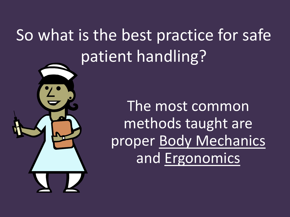## So what is the best practice for safe patient handling?



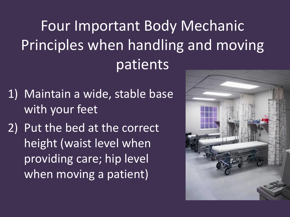Four Important Body Mechanic Principles when handling and moving patients

- 1) Maintain a wide, stable base with your feet
- 2) Put the bed at the correct height (waist level when providing care; hip level when moving a patient)

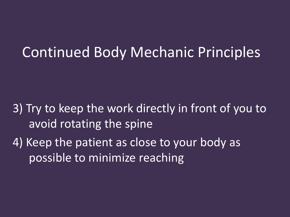#### Continued Body Mechanic Principles

- 3) Try to keep the work directly in front of you to avoid rotating the spine
- 4) Keep the patient as close to your body as possible to minimize reaching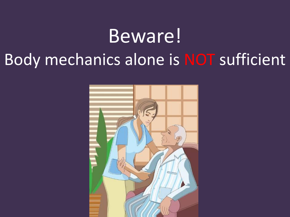## Beware! Body mechanics alone is NOT sufficient

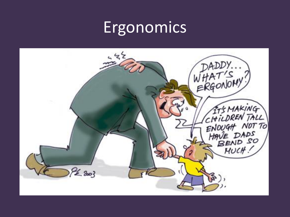#### **Ergonomics**

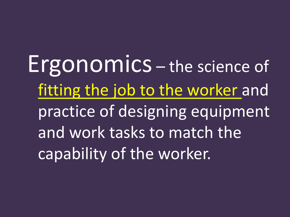Ergonomics – the science of fitting the job to the worker and practice of designing equipment and work tasks to match the capability of the worker.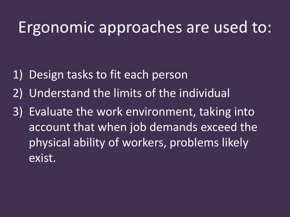#### Ergonomic approaches are used to:

- 1) Design tasks to fit each person
- 2) Understand the limits of the individual
- 3) Evaluate the work environment, taking into account that when job demands exceed the physical ability of workers, problems likely exist.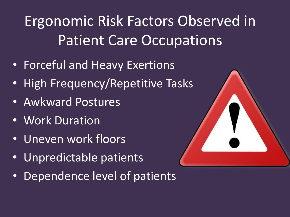Ergonomic Risk Factors Observed in Patient Care Occupations

- Forceful and Heavy Exertions
- High Frequency/Repetitive Tasks
- Awkward Postures
- Work Duration
- Uneven work floors
- Unpredictable patients
- Dependence level of patients

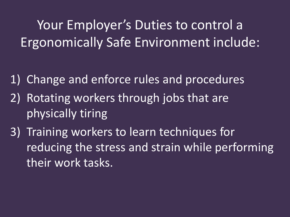Your Employer's Duties to control a Ergonomically Safe Environment include:

- 1) Change and enforce rules and procedures
- 2) Rotating workers through jobs that are physically tiring
- 3) Training workers to learn techniques for reducing the stress and strain while performing their work tasks.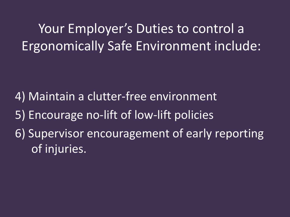Your Employer's Duties to control a Ergonomically Safe Environment include:

4) Maintain a clutter-free environment

- 5) Encourage no-lift of low-lift policies
- 6) Supervisor encouragement of early reporting of injuries.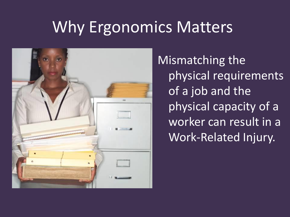## Why Ergonomics Matters



Mismatching the physical requirements of a job and the physical capacity of a worker can result in a Work-Related Injury.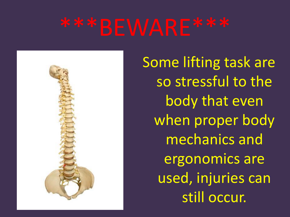

Some lifting task are so stressful to the body that even when proper body mechanics and ergonomics are used, injuries can still occur.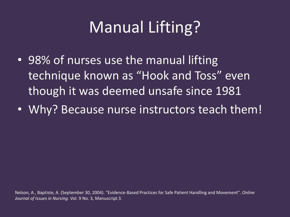## Manual Lifting?

- 98% of nurses use the manual lifting technique known as "Hook and Toss" even though it was deemed unsafe since 1981
- Why? Because nurse instructors teach them!

Nelson, A., Baptiste, A. (September 30, 2004). "Evidence-Based Practices for Safe Patient Handling and Movement". *Online Journal of Issues in Nursing*. Vol. 9 No. 3, Manuscript 3.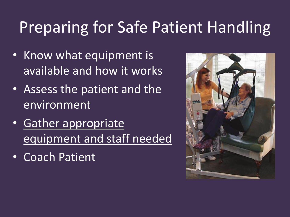## Preparing for Safe Patient Handling

- Know what equipment is available and how it works
- Assess the patient and the environment
- Gather appropriate equipment and staff needed
- Coach Patient

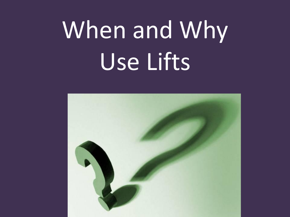# When and Why Use Lifts

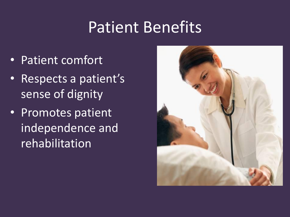#### Patient Benefits

- Patient comfort
- Respects a patient's sense of dignity
- Promotes patient independence and rehabilitation

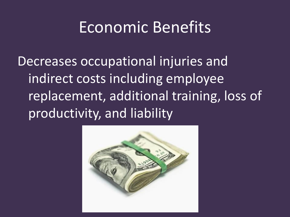#### Economic Benefits

Decreases occupational injuries and indirect costs including employee replacement, additional training, loss of productivity, and liability

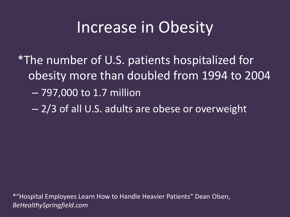#### Increase in Obesity

\*The number of U.S. patients hospitalized for obesity more than doubled from 1994 to 2004

– 797,000 to 1.7 million

– 2/3 of all U.S. adults are obese or overweight

\*"Hospital Employees Learn How to Handle Heavier Patients" Dean Olsen, *BeHealthySpringfield.com*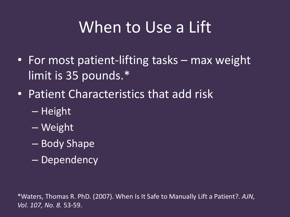## When to Use a Lift

- For most patient-lifting tasks max weight limit is 35 pounds.\*
- Patient Characteristics that add risk
	- Height
	- Weight
	- Body Shape
	- Dependency

\*Waters, Thomas R. PhD. (2007). When Is It Safe to Manually Lift a Patient?. *AJN, Vol. 107, No. 8.* 53-59.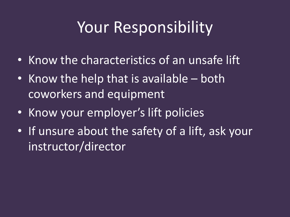## Your Responsibility

- Know the characteristics of an unsafe lift
- Know the help that is available both coworkers and equipment
- Know your employer's lift policies
- If unsure about the safety of a lift, ask your instructor/director